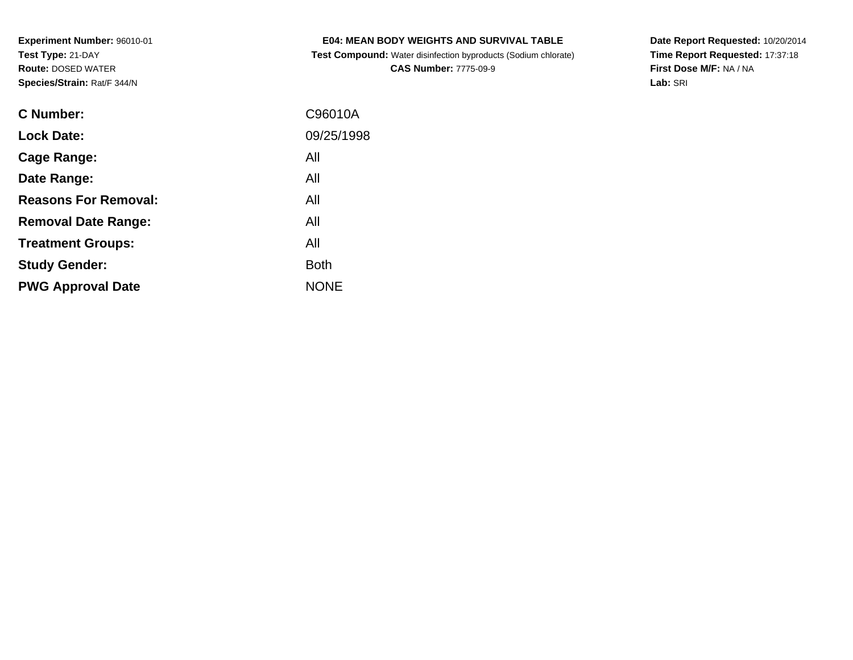**Test Compound:** Water disinfection byproducts (Sodium chlorate)**CAS Number:** 7775-09-9

**Date Report Requested:** 10/20/2014 **Time Report Requested:** 17:37:18**First Dose M/F:** NA / NA**Lab:** SRI

| <b>C</b> Number:            | C96010A     |
|-----------------------------|-------------|
| <b>Lock Date:</b>           | 09/25/1998  |
| Cage Range:                 | All         |
| Date Range:                 | All         |
| <b>Reasons For Removal:</b> | All         |
| <b>Removal Date Range:</b>  | All         |
| <b>Treatment Groups:</b>    | All         |
| <b>Study Gender:</b>        | <b>Both</b> |
| <b>PWG Approval Date</b>    | <b>NONE</b> |
|                             |             |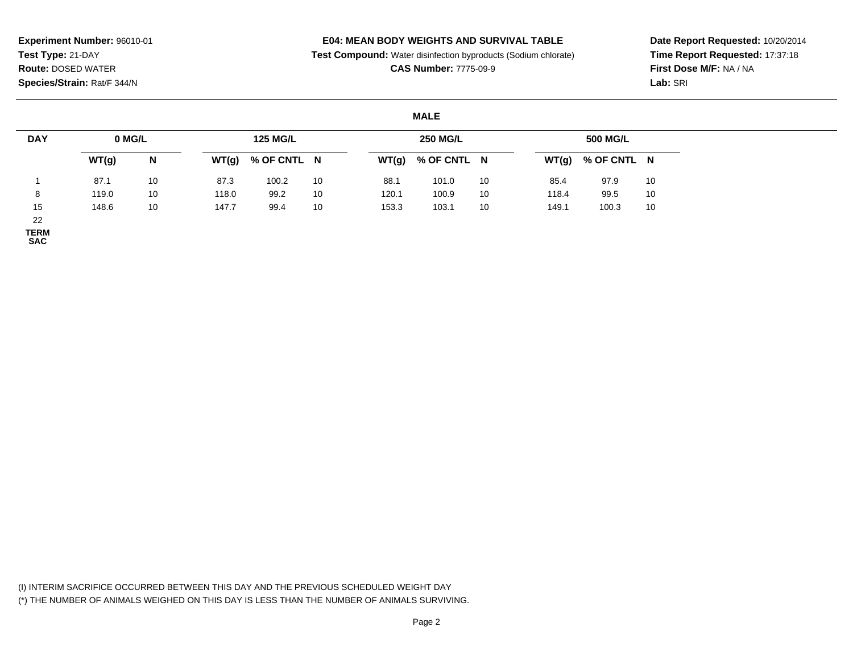## **E04: MEAN BODY WEIGHTS AND SURVIVAL TABLE**

**Test Compound:** Water disinfection byproducts (Sodium chlorate)

**CAS Number:** 7775-09-9

**Date Report Requested:** 10/20/2014**Time Report Requested:** 17:37:18**First Dose M/F:** NA / NA**Lab:** SRI

#### **MALE**

| <b>DAY</b>         | 0 MG/L |    |       | <b>125 MG/L</b> |    |       | <b>250 MG/L</b> |    |       | 500 MG/L            |    |
|--------------------|--------|----|-------|-----------------|----|-------|-----------------|----|-------|---------------------|----|
|                    | WT(g)  | N  | WT(g) | % OF CNTL N     |    | WT(g) | % OF CNTL N     |    |       | $WT(g)$ % OF CNTL N |    |
|                    | 87.1   | 10 | 87.3  | 100.2           | 10 | 88.1  | 101.0           | 10 | 85.4  | 97.9                | 10 |
| $\circ$<br>$\circ$ | 119.0  | 10 | 118.0 | 99.2            | 10 | 120.1 | 100.9           | 10 | 118.4 | 99.5                | 10 |
| 15                 | 148.6  | 10 | 147.7 | 99.4            | 10 | 153.3 | 103.1           | 10 | 149.1 | 100.3               | 10 |
| 22                 |        |    |       |                 |    |       |                 |    |       |                     |    |

**TERM SAC**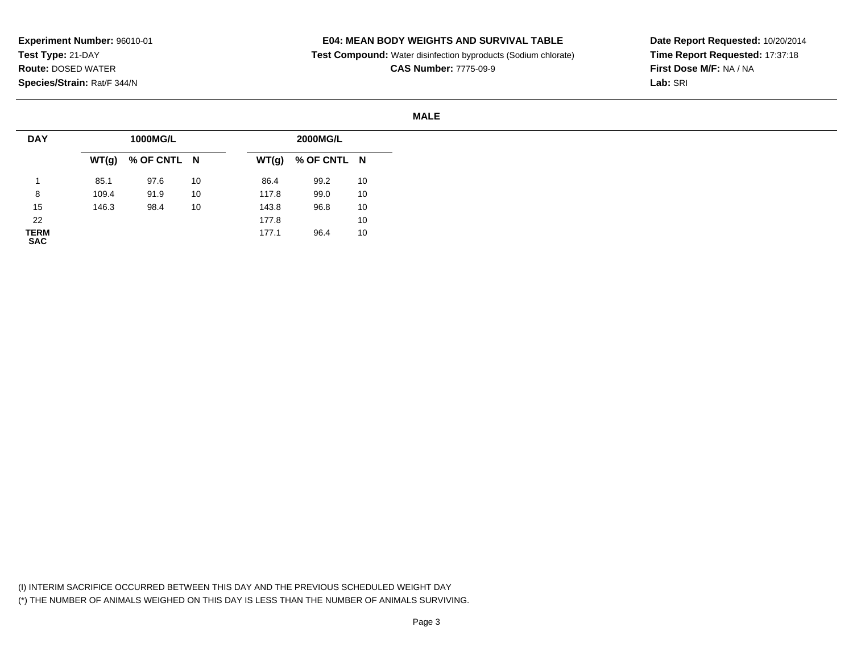### **E04: MEAN BODY WEIGHTS AND SURVIVAL TABLE**

**Test Compound:** Water disinfection byproducts (Sodium chlorate)

**CAS Number:** 7775-09-9

**Date Report Requested:** 10/20/2014**Time Report Requested:** 17:37:18**First Dose M/F:** NA / NA**Lab:** SRI

#### **MALE**

| <b>DAY</b>                |       | 1000MG/L    |    |       | 2000MG/L    |    |
|---------------------------|-------|-------------|----|-------|-------------|----|
|                           | WT(g) | % OF CNTL N |    | WT(g) | % OF CNTL N |    |
|                           | 85.1  | 97.6        | 10 | 86.4  | 99.2        | 10 |
| 8                         | 109.4 | 91.9        | 10 | 117.8 | 99.0        | 10 |
| 15                        | 146.3 | 98.4        | 10 | 143.8 | 96.8        | 10 |
| 22                        |       |             |    | 177.8 |             | 10 |
| <b>TERM</b><br><b>SAC</b> |       |             |    | 177.1 | 96.4        | 10 |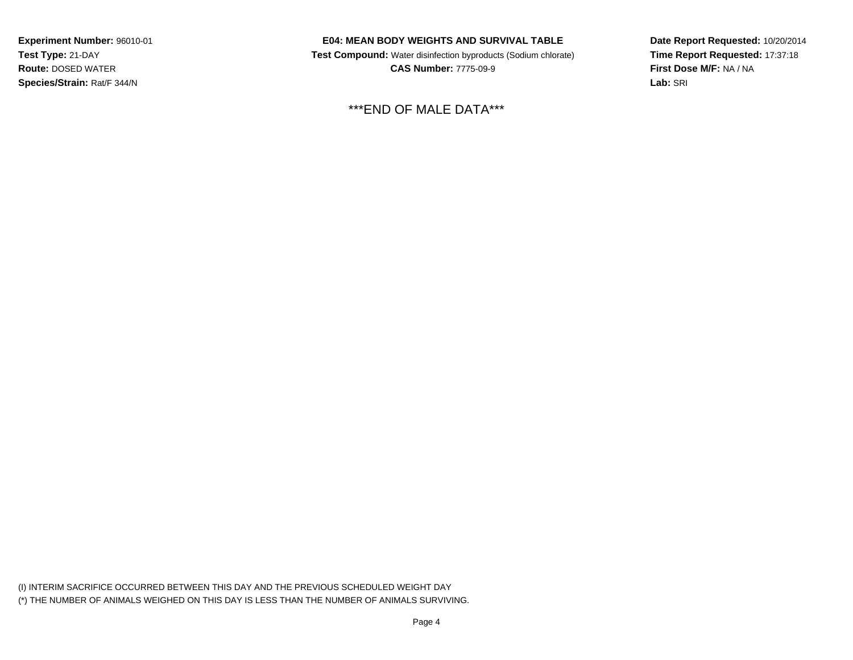## **E04: MEAN BODY WEIGHTS AND SURVIVAL TABLE**

 **Test Compound:** Water disinfection byproducts (Sodium chlorate)**CAS Number:** 7775-09-9

\*\*\*END OF MALE DATA\*\*\*

**Date Report Requested:** 10/20/2014**Time Report Requested:** 17:37:18**First Dose M/F:** NA / NA**Lab:** SRI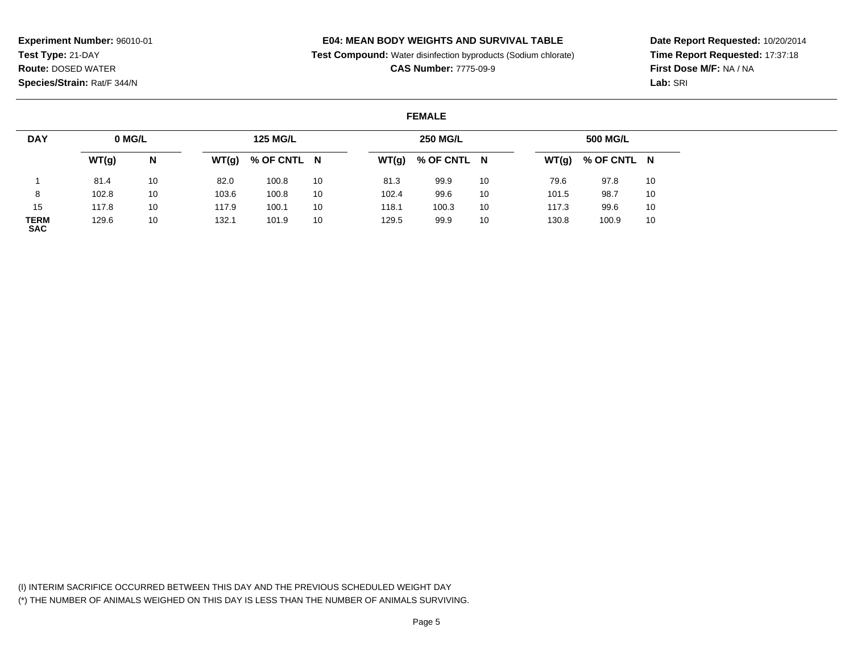## **E04: MEAN BODY WEIGHTS AND SURVIVAL TABLE**

**Test Compound:** Water disinfection byproducts (Sodium chlorate)

**CAS Number:** 7775-09-9

**Date Report Requested:** 10/20/2014**Time Report Requested:** 17:37:18**First Dose M/F:** NA / NA**Lab:** SRI

#### **FEMALE**

| <b>DAY</b>                | 0 MG/L |    |       | <b>125 MG/L</b> |    |       | <b>250 MG/L</b>     |    |       | <b>500 MG/L</b> |    |
|---------------------------|--------|----|-------|-----------------|----|-------|---------------------|----|-------|-----------------|----|
|                           | WT(g)  | N  | WT(g) | % OF CNTL N     |    |       | $WT(g)$ % OF CNTL N |    | WT(g) | % OF CNTL N     |    |
|                           | 81.4   | 10 | 82.0  | 100.8           | 10 | 81.3  | 99.9                | 10 | 79.6  | 97.8            | 10 |
| 8                         | 102.8  | 10 | 103.6 | 100.8           | 10 | 102.4 | 99.6                | 10 | 101.5 | 98.7            | 10 |
| 15                        | 117.8  | 10 | 117.9 | 100.1           | 10 | 118.1 | 100.3               | 10 | 117.3 | 99.6            | 10 |
| <b>TERM</b><br><b>SAC</b> | 129.6  | 10 | 132.1 | 101.9           | 10 | 129.5 | 99.9                | 10 | 130.8 | 100.9           | 10 |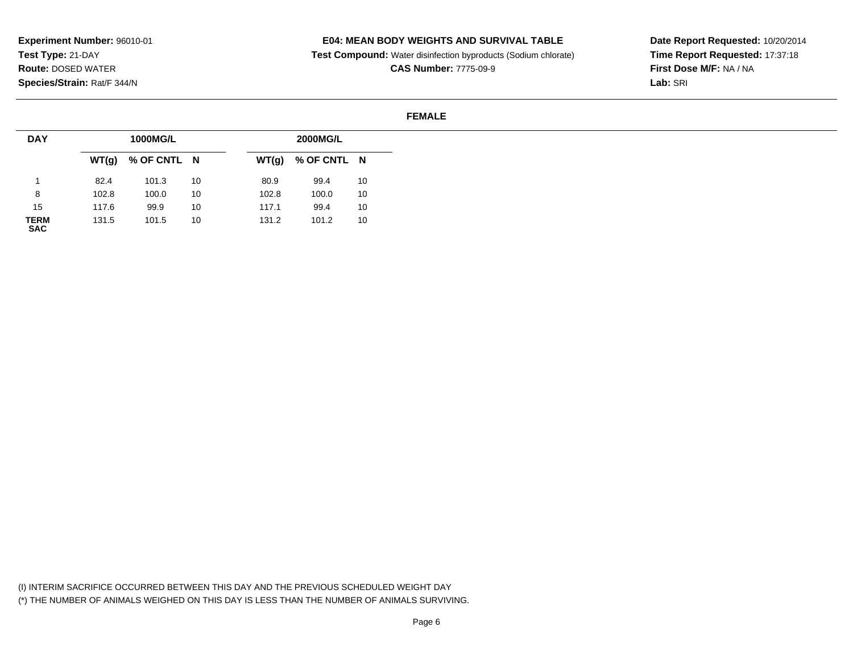### **E04: MEAN BODY WEIGHTS AND SURVIVAL TABLE**

**Test Compound:** Water disinfection byproducts (Sodium chlorate)

**CAS Number:** 7775-09-9

**Date Report Requested:** 10/20/2014**Time Report Requested:** 17:37:18**First Dose M/F:** NA / NA**Lab:** SRI

#### **FEMALE**

| <b>DAY</b>         |       | 1000MG/L    |    |       | 2000MG/L    |    |
|--------------------|-------|-------------|----|-------|-------------|----|
|                    | WT(g) | % OF CNTL N |    | WT(g) | % OF CNTL N |    |
|                    | 82.4  | 101.3       | 10 | 80.9  | 99.4        | 10 |
| 8                  | 102.8 | 100.0       | 10 | 102.8 | 100.0       | 10 |
| 15                 | 117.6 | 99.9        | 10 | 117.1 | 99.4        | 10 |
| <b>TERM</b><br>SAC | 131.5 | 101.5       | 10 | 131.2 | 101.2       | 10 |